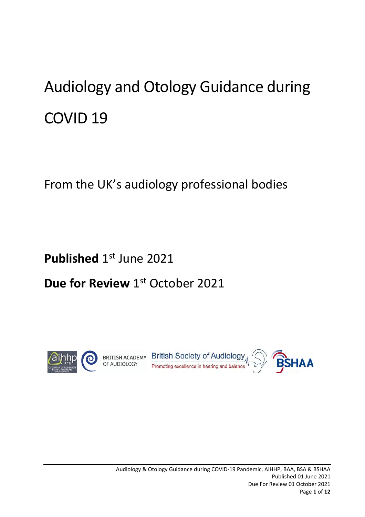# Audiology and Otology Guidance during COVID 19

From the UK's audiology professional bodies

**Published** 1<sup>st</sup> June 2021

# **Due for Review** 1<sup>st</sup> October 2021

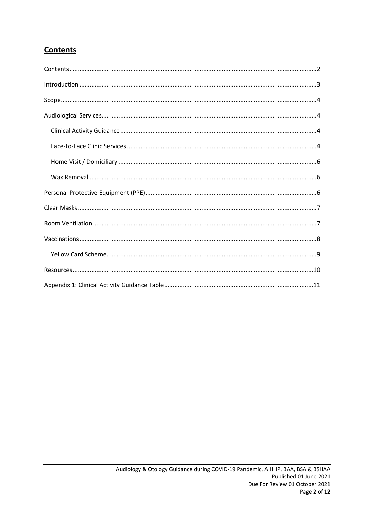### <span id="page-1-0"></span>Contents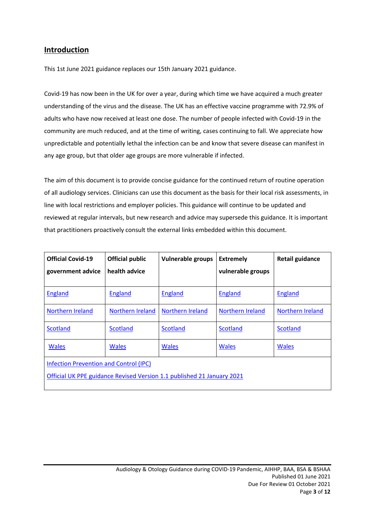#### <span id="page-2-0"></span>**Introduction**

This 1st June 2021 guidance replaces our 15th January 2021 guidance.

Covid-19 has now been in the UK for over a year, during which time we have acquired a much greater understanding of the virus and the disease. The UK has an effective vaccine programme with 72.9% of adults who have now received at least one dose. The number of people infected with Covid-19 in the community are much reduced, and at the time of writing, cases continuing to fall. We appreciate how unpredictable and potentially lethal the infection can be and know that severe disease can manifest in any age group, but that older age groups are more vulnerable if infected.

The aim of this document is to provide concise guidance for the continued return of routine operation of all audiology services. Clinicians can use this document as the basis for their local risk assessments, in line with local restrictions and employer policies. This guidance will continue to be updated and reviewed at regular intervals, but new research and advice may supersede this guidance. It is important that practitioners proactively consult the external links embedded within this document.

| <b>Official Covid-19</b>                                               | <b>Official public</b> | <b>Vulnerable groups</b> | <b>Extremely</b>  | <b>Retail guidance</b> |  |  |  |
|------------------------------------------------------------------------|------------------------|--------------------------|-------------------|------------------------|--|--|--|
| government advice                                                      | health advice          |                          | vulnerable groups |                        |  |  |  |
|                                                                        |                        |                          |                   |                        |  |  |  |
| <b>England</b>                                                         | <b>England</b>         | <b>England</b>           | <b>England</b>    | <b>England</b>         |  |  |  |
| Northern Ireland                                                       | Northern Ireland       | Northern Ireland         | Northern Ireland  | Northern Ireland       |  |  |  |
| <b>Scotland</b>                                                        | <b>Scotland</b>        | <b>Scotland</b>          | Scotland          | <b>Scotland</b>        |  |  |  |
| <b>Wales</b>                                                           | <b>Wales</b>           | <b>Wales</b>             | <b>Wales</b>      | <b>Wales</b>           |  |  |  |
| <b>Infection Prevention and Control (IPC)</b>                          |                        |                          |                   |                        |  |  |  |
| Official UK PPE guidance Revised Version 1.1 published 21 January 2021 |                        |                          |                   |                        |  |  |  |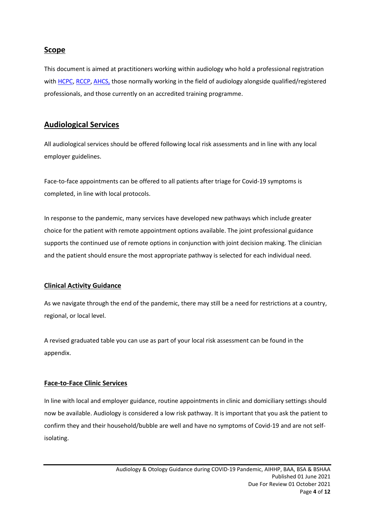#### <span id="page-3-0"></span>**Scope**

This document is aimed at practitioners working within audiology who hold a professional registration with [HCPC,](https://www.hcpc-uk.org/covid-19/) [RCCP,](https://www.rccp.co.uk/about-us/work-with-us/covid-19-pandemic/) [AHCS,](https://www.ahcs.ac.uk/2020/03/23/covid-19/) those normally working in the field of audiology alongside qualified/registered professionals, and those currently on an accredited training programme.

#### <span id="page-3-1"></span>**Audiological Services**

All audiological services should be offered following local risk assessments and in line with any local employer guidelines.

Face-to-face appointments can be offered to all patients after triage for Covid-19 symptoms is completed, in line with local protocols.

In response to the pandemic, many services have developed new pathways which include greater choice for the patient with remote appointment options available. The joint professional guidance supports the continued use of remote options in conjunction with joint decision making. The clinician and the patient should ensure the most appropriate pathway is selected for each individual need.

#### <span id="page-3-2"></span>**Clinical Activity Guidance**

As we navigate through the end of the pandemic, there may still be a need for restrictions at a country, regional, or local level.

A revised graduated table you can use as part of your local risk assessment can be found in the appendix.

#### <span id="page-3-3"></span>**Face-to-Face Clinic Services**

In line with local and employer guidance, routine appointments in clinic and domiciliary settings should now be available. Audiology is considered a low risk pathway. It is important that you ask the patient to confirm they and their household/bubble are well and have no symptoms of Covid-19 and are not selfisolating.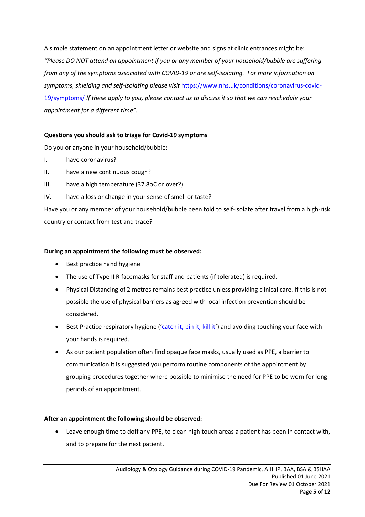A simple statement on an appointment letter or website and signs at clinic entrances might be: *"Please DO NOT attend an appointment if you or any member of your household/bubble are suffering from any of the symptoms associated with COVID-19 or are self-isolating. For more information on symptoms, shielding and self-isolating please visit* [https://www.nhs.uk/conditions/coronavirus-covid-](https://www.nhs.uk/conditions/coronavirus-covid-19/symptoms/)[19/symptoms/](https://www.nhs.uk/conditions/coronavirus-covid-19/symptoms/) *If these apply to you, please contact us to discuss it so that we can reschedule your appointment for a different time".*

#### **Questions you should ask to triage for Covid-19 symptoms**

Do you or anyone in your household/bubble:

- I. have coronavirus?
- II. have a new continuous cough?
- III. have a high temperature (37.8oC or over?)
- IV. have a loss or change in your sense of smell or taste?

Have you or any member of your household/bubble been told to self-isolate after travel from a high-risk country or contact from test and trace?

#### **During an appointment the following must be observed:**

- Best practice hand hygiene
- The use of Type II R facemasks for staff and patients (if tolerated) is required.
- Physical Distancing of 2 metres remains best practice unless providing clinical care. If this is not possible the use of physical barriers as agreed with local infection prevention should be considered.
- Best Practice respiratory hygiene ('[catch](https://starkeyhearingtechnologies-my.sharepoint.com/personal/sue_falkingham_starkey_co_uk/Documents/Covid%2019%20Starkey%20communications/Joint%20guidance/15th%20January/respiratory%20hygiene%20(‘catch%20it,%20bin%20it,%20kill%20it’)%20and%20avoiding%20touching%20your%20face%20with%20your%20hands) it, bin it, kill it') and avoiding touching your face with your hands is required.
- As our patient population often find opaque face masks, usually used as PPE, a barrier to communication it is suggested you perform routine components of the appointment by grouping procedures together where possible to minimise the need for PPE to be worn for long periods of an appointment.

#### **After an appointment the following should be observed:**

• Leave enough time to doff any PPE, to clean high touch areas a patient has been in contact with, and to prepare for the next patient.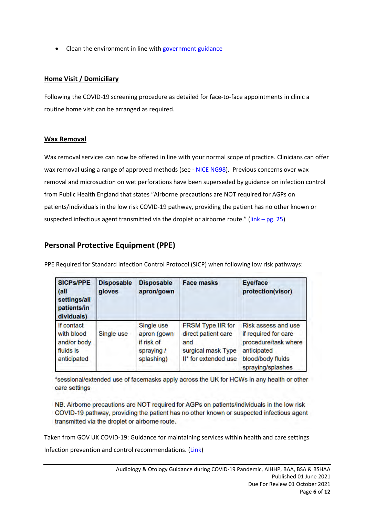• Clean the environment in line with [government](https://assets.publishing.service.gov.uk/government/uploads/system/uploads/attachment_data/file/893320/COVID-19_Infection_prevention_and_control_guidance_complete.pdf) guidance

#### <span id="page-5-0"></span>**Home Visit / Domiciliary**

Following the COVID-19 screening procedure as detailed for face-to-face appointments in clinic a routine home visit can be arranged as required.

#### <span id="page-5-1"></span>**Wax Removal**

Wax removal services can now be offered in line with your normal scope of practice. Clinicians can offer wax removal using a range of approved methods (see - NICE [NG98\).](https://www.nice.org.uk/guidance/ng98/chapter/Recommendations#removing-earwax) Previous concerns over wax removal and microsuction on wet perforations have been superseded by guidance on infection control from Public Health England that states "Airborne precautions are NOT required for AGPs on patients/individuals in the low risk COVID-19 pathway, providing the patient has no other known or suspected infectious agent transmitted via the droplet or airborne route."  $(\frac{link - pg. 25}{} )$ 

#### <span id="page-5-2"></span>**Personal Protective Equipment (PPE)**

| <b>SICPS/PPE</b><br>(all<br>settings/all<br>patients/in<br>dividuals) | <b>Disposable</b><br>gloves | <b>Disposable</b><br>apron/gown                                      | <b>Face masks</b>                                                                                    | <b>Eye/face</b><br>protection(visor)                                                                                         |
|-----------------------------------------------------------------------|-----------------------------|----------------------------------------------------------------------|------------------------------------------------------------------------------------------------------|------------------------------------------------------------------------------------------------------------------------------|
| If contact<br>with blood<br>and/or body<br>fluids is<br>anticipated   | Single use                  | Single use<br>apron (gown)<br>if risk of<br>spraying /<br>splashing) | <b>FRSM Type IIR for</b><br>direct patient care<br>and<br>surgical mask Type<br>II* for extended use | Risk assess and use<br>if required for care<br>procedure/task where<br>anticipated<br>blood/body fluids<br>spraying/splashes |

PPE Required for Standard Infection Control Protocol (SICP) when following low risk pathways:

\*sessional/extended use of facemasks apply across the UK for HCWs in any health or other care settings

NB. Airborne precautions are NOT required for AGPs on patients/individuals in the low risk COVID-19 pathway, providing the patient has no other known or suspected infectious agent transmitted via the droplet or airborne route.

Taken from GOV UK COVID-19: Guidance for maintaining services within health and care settings

Infection prevention and control recommendations. [\(Link\)](https://assets.publishing.service.gov.uk/government/uploads/system/uploads/attachment_data/file/954690/Infection_Prevention_and_Control_Guidance_January_2021.pdf)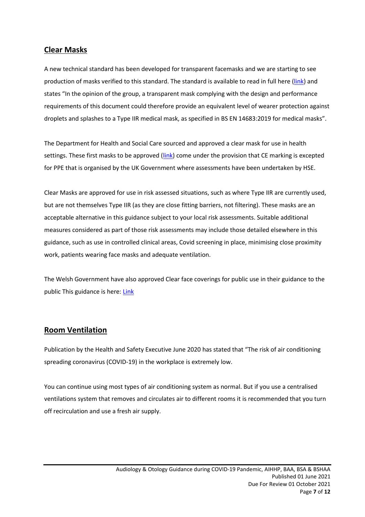#### <span id="page-6-0"></span>**Clear Masks**

A new technical standard has been developed for transparent facemasks and we are starting to see production of masks verified to this standard. The standard is available to read in full here [\(link\)](https://www.gov.uk/government/publications/technical-specifications-for-personal-protective-equipment-ppe/transparent-face-mask-technical-specification) and states "In the opinion of the group, a transparent mask complying with the design and performance requirements of this document could therefore provide an equivalent level of wearer protection against droplets and splashes to a Type IIR medical mask, as specified in BS EN 14683:2019 for medical masks".

The Department for Health and Social Care sourced and approved a clear mask for use in health settings. These first masks to be approved [\(link\)](http://www.theclearmask.com/) come under the provision that CE marking is excepted for PPE that is organised by the UK Government where assessments have been undertaken by HSE.

Clear Masks are approved for use in risk assessed situations, such as where Type IIR are currently used, but are not themselves Type IIR (as they are close fitting barriers, not filtering). These masks are an acceptable alternative in this guidance subject to your local risk assessments. Suitable additional measures considered as part of those risk assessments may include those detailed elsewhere in this guidance, such as use in controlled clinical areas, Covid screening in place, minimising close proximity work, patients wearing face masks and adequate ventilation.

The Welsh Government have also approved Clear face coverings for public use in their guidance to the public This guidance is here: [Link](https://gov.wales/face-coverings-guidance-public)

#### <span id="page-6-1"></span>**Room Ventilation**

Publication by the Health and Safety Executive June 2020 has stated that "The risk of air conditioning spreading coronavirus (COVID-19) in the workplace is extremely low.

You can continue using most types of air conditioning system as normal. But if you use a centralised ventilations system that removes and circulates air to different rooms it is recommended that you turn off recirculation and use a fresh air supply.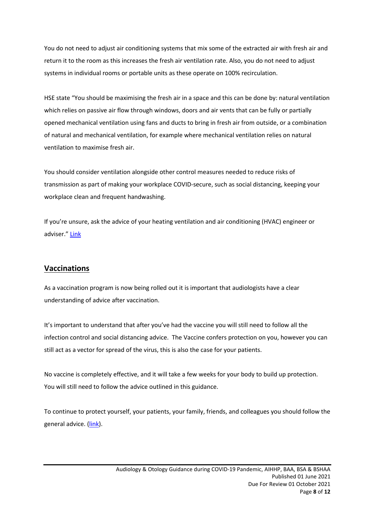You do not need to adjust air conditioning systems that mix some of the extracted air with fresh air and return it to the room as this increases the fresh air ventilation rate. Also, you do not need to adjust systems in individual rooms or portable units as these operate on 100% recirculation.

HSE state "You should be maximising the fresh air in a space and this can be done by: natural ventilation which relies on passive air flow through windows, doors and air vents that can be fully or partially opened mechanical ventilation using fans and ducts to bring in fresh air from outside, or a combination of natural and mechanical ventilation, for example where mechanical ventilation relies on natural ventilation to maximise fresh air.

You should consider ventilation alongside other control measures needed to reduce risks of transmission as part of making your workplace COVID-secure, such as social distancing, keeping your workplace clean and frequent handwashing.

If you're unsure, ask the advice of your heating ventilation and air conditioning (HVAC) engineer or adviser." [Link](https://www.hse.gov.uk/coronavirus/equipment-and-machinery/air-conditioning-and-ventilation.htm)

#### <span id="page-7-0"></span>**Vaccinations**

As a vaccination program is now being rolled out it is important that audiologists have a clear understanding of advice after vaccination.

It's important to understand that after you've had the vaccine you will still need to follow all the infection control and social distancing advice. The Vaccine confers protection on you, however you can still act as a vector for spread of the virus, this is also the case for your patients.

No vaccine is completely effective, and it will take a few weeks for your body to build up protection. You will still need to follow the advice outlined in this guidance.

To continue to protect yourself, your patients, your family, friends, and colleagues you should follow the general advice. [\(link\)](https://www.gov.uk/government/publications/covid-19-vaccination-guide-for-healthcare-workers/covid-19-vaccination-guide-for-healthcare-workers#further-information).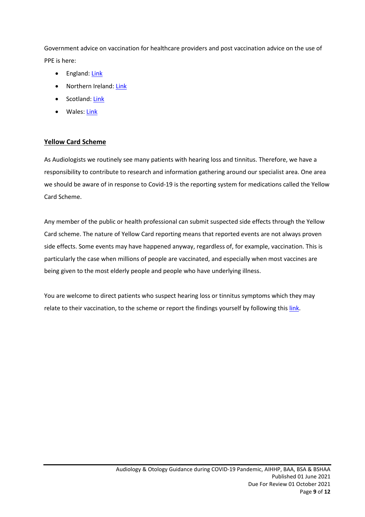Government advice on vaccination for healthcare providers and post vaccination advice on the use of PPE is here:

- England: [Link](https://www.gov.uk/government/publications/covid-19-vaccination-guide-for-healthcare-workers/covid-19-vaccination-guide-for-healthcare-workers)
- Northern Ireland: [Link](https://www.publichealth.hscni.net/publications/covid-19-vaccination-protection-health-and-social-care-workers)
- Scotland: [Link](http://www.healthscotland.com/documents/37386.aspx)
- Wales: [Link](https://phw.nhs.wales/topics/immunisation-and-vaccines/covid-19-vaccination-information/resources-for-health-and-social-care-professionals/)

#### <span id="page-8-0"></span>**Yellow Card Scheme**

As Audiologists we routinely see many patients with hearing loss and tinnitus. Therefore, we have a responsibility to contribute to research and information gathering around our specialist area. One area we should be aware of in response to Covid-19 is the reporting system for medications called the Yellow Card Scheme.

Any member of the public or health professional can submit suspected side effects through the Yellow Card scheme. The nature of Yellow Card reporting means that reported events are not always proven side effects. Some events may have happened anyway, regardless of, for example, vaccination. This is particularly the case when millions of people are vaccinated, and especially when most vaccines are being given to the most elderly people and people who have underlying illness.

You are welcome to direct patients who suspect hearing loss or tinnitus symptoms which they may relate to their vaccination, to the scheme or report the findings yourself by following this [link.](https://yellowcard.mhra.gov.uk/)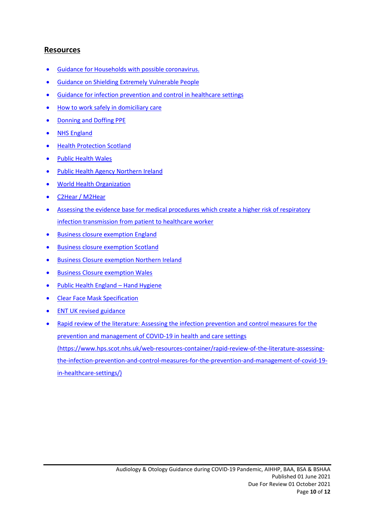#### <span id="page-9-0"></span>**Resources**

- Guidance for Households with possible [coronavirus.](https://www.gov.uk/government/publications/covid-19-stay-at-home-guidance/stay-at-home-guidance-for-households-with-possible-coronavirus-covid-19-infection)
- Guidance on Shielding Extremely [Vulnerable](https://www.gov.uk/government/publications/guidance-on-shielding-and-protecting-extremely-vulnerable-persons-from-covid-19/guidance-on-shielding-and-protecting-extremely-vulnerable-persons-from-covid-19) People
- Guidance for infection [prevention](https://www.gov.uk/government/publications/wuhan-novel-coronavirus-infection-prevention-and-control) and control in healthcare settings
- How to work safely in [domiciliary](https://www.gov.uk/government/publications/covid-19-how-to-work-safely-in-domiciliary-care) care
- [Donning](https://www.gov.uk/government/publications/covid-19-personal-protective-equipment-use-for-non-aerosol-generating-procedures) and Doffing PPE
- NHS [England](https://www.england.nhs.uk/ourwork/eprr/coronavirus/)
- Health [Protection](https://www.hps.scot.nhs.uk/web-resources-container/novel-coronavirus-2019-ncov-guidance-for-primary-care/) Scotland
- Public [Health](https://covid19-phwstatement.nhs.wales/) Wales
- Public Health Agency [Northern](https://www.publichealth.hscni.net/news/novel-coronavirus-2019-ncov) Ireland
- World Health [Organization](https://www.who.int/emergencies/diseases/novel-coronavirus-2019/advice-for-public)
- [C2Hear](https://c2hearonline.com/) / [M2Hear](https://www.nottingham.ac.uk/helm/dev-test/m2hear/)
- Assessing the evidence base for medical procedures which create a higher risk of respiratory infection transmission from patient to healthcare worker
- Business closure [exemption](https://www.gov.uk/government/publications/further-businesses-and-premises-to-close/further-businesses-and-premises-to-close-guidance) England
- Business closure [exemption](https://www.gov.scot/publications/first-ministers-update-covid-19/) Scotland
- Business Closure [exemption](https://www.nidirect.gov.uk/articles/coronavirus-covid-19-restrictions-businesses-and-services) Northern Ireland
- Business Closure [exemption](https://gov.wales/coronavirus-covid-19-closure-businesses-and-premises-0) Wales
- Public Health England Hand [Hygiene](https://www.nhs.uk/live-well/healthy-body/best-way-to-wash-your-hands/)
- Clear Face Mask [Specification](https://www.gov.uk/government/publications/technical-specifications-for-personal-protective-equipment-ppe/transparent-face-mask-technical-specification)
- ENT UK revised [guidance](https://mcusercontent.com/e386d81be4a76bada89909666/files/4d5b5b76-13ca-6e3e-d31f-50a15a76898d/Revised_AGP_guidelines_abridged.pdf)
- Rapid review of the literature: Assessing the infection [prevention](https://www.hps.scot.nhs.uk/web-resources-container/rapid-review-of-the-literature-assessing-the-infection-prevention-and-control-measures-for-the-prevention-and-management-of-covid-19-in-healthcare-settings/) and control measures for the prevention and [management](https://www.hps.scot.nhs.uk/web-resources-container/rapid-review-of-the-literature-assessing-the-infection-prevention-and-control-measures-for-the-prevention-and-management-of-covid-19-in-healthcare-settings/) of COVID-19 in health and care settings [\(https://www.hps.scot.nhs.uk/web-resources-container/rapid-review-of-the-literature-assessing](https://www.hps.scot.nhs.uk/web-resources-container/rapid-review-of-the-literature-assessing-the-infection-prevention-and-control-measures-for-the-prevention-and-management-of-covid-19-in-healthcare-settings/)[the-infection-prevention-and-control-measures-for-the-prevention-and-management-of-covid-19](https://www.hps.scot.nhs.uk/web-resources-container/rapid-review-of-the-literature-assessing-the-infection-prevention-and-control-measures-for-the-prevention-and-management-of-covid-19-in-healthcare-settings/) [in-healthcare-settings/\)](https://www.hps.scot.nhs.uk/web-resources-container/rapid-review-of-the-literature-assessing-the-infection-prevention-and-control-measures-for-the-prevention-and-management-of-covid-19-in-healthcare-settings/)